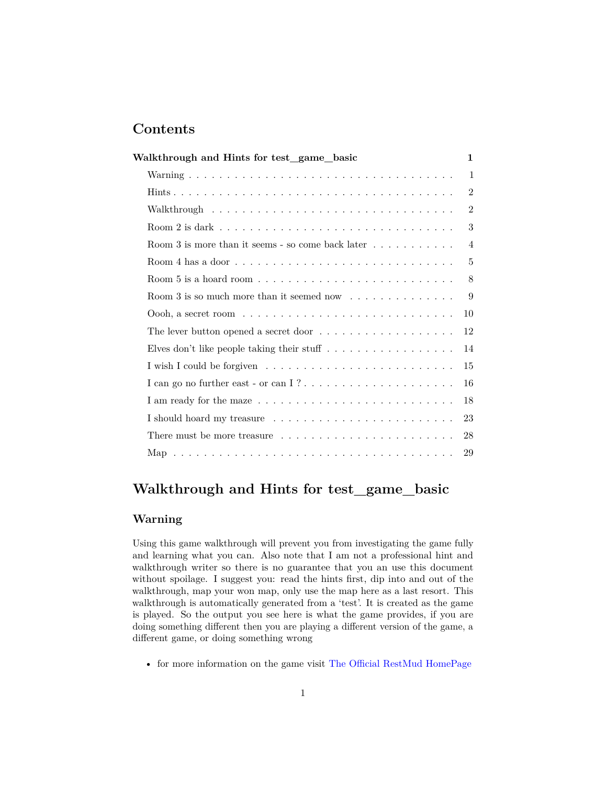# **Contents**

| Walkthrough and Hints for test_game_basic                                            | $\mathbf{1}$   |
|--------------------------------------------------------------------------------------|----------------|
|                                                                                      | $\mathbf{1}$   |
|                                                                                      | $\overline{2}$ |
|                                                                                      | $\overline{2}$ |
|                                                                                      | 3              |
| Room 3 is more than it seems - so come back later $\dots \dots \dots$                | $\overline{4}$ |
|                                                                                      | 5              |
| Room 5 is a hoard room $\dots \dots \dots \dots \dots \dots \dots \dots \dots \dots$ | 8              |
| Room 3 is so much more than it seemed now $\dots \dots \dots \dots$                  | 9              |
| Oooh, a secret room $\ldots \ldots \ldots \ldots \ldots \ldots \ldots \ldots \ldots$ | 10             |
| The lever button opened a secret door $\dots \dots \dots \dots \dots \dots$          | 12             |
| Elves don't like people taking their stuff $\ldots \ldots \ldots \ldots \ldots$      | 14             |
|                                                                                      | 15             |
|                                                                                      | 16             |
|                                                                                      | 18             |
|                                                                                      | 23             |
| There must be more treasure $\dots \dots \dots \dots \dots \dots \dots \dots$        | 28             |
|                                                                                      | 29             |
|                                                                                      |                |

# <span id="page-0-0"></span>**Walkthrough and Hints for test\_game\_basic**

# <span id="page-0-1"></span>**Warning**

Using this game walkthrough will prevent you from investigating the game fully and learning what you can. Also note that I am not a professional hint and walkthrough writer so there is no guarantee that you an use this document without spoilage. I suggest you: read the hints first, dip into and out of the walkthrough, map your won map, only use the map here as a last resort. This walkthrough is automatically generated from a 'test'. It is created as the game is played. So the output you see here is what the game provides, if you are doing something different then you are playing a different version of the game, a different game, or doing something wrong

• for more information on the game visit [The Official RestMud HomePage](http://compendiumdev.co.uk/page/restmud)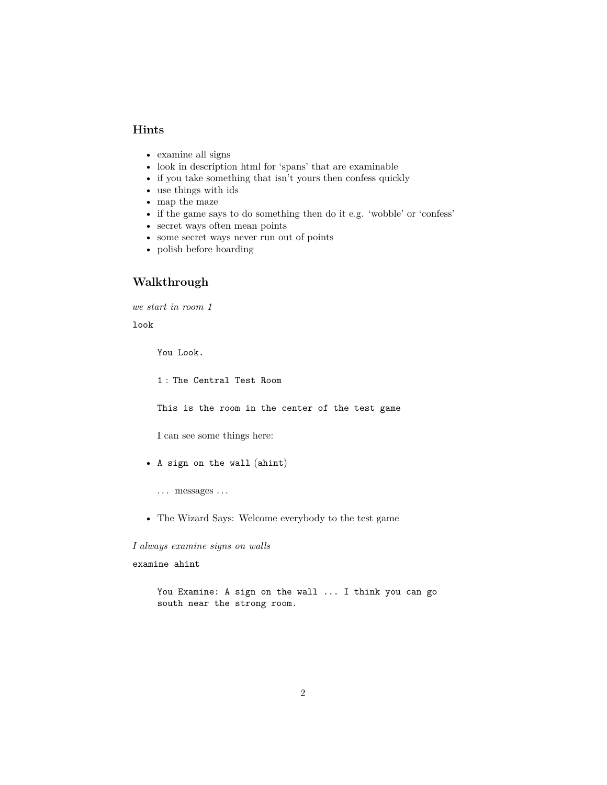## <span id="page-1-0"></span>**Hints**

- examine all signs
- look in description html for 'spans' that are examinable
- if you take something that isn't yours then confess quickly
- use things with ids
- map the maze
- if the game says to do something then do it e.g. 'wobble' or 'confess'
- secret ways often mean points
- some secret ways never run out of points
- polish before hoarding

## <span id="page-1-1"></span>**Walkthrough**

*we start in room 1*

#### look

You Look.

1 : The Central Test Room

This is the room in the center of the test game

I can see some things here:

- A sign on the wall (ahint)
	- $\dots$  messages  $\dots$
- The Wizard Says: Welcome everybody to the test game

*I always examine signs on walls*

examine ahint

You Examine: A sign on the wall ... I think you can go south near the strong room.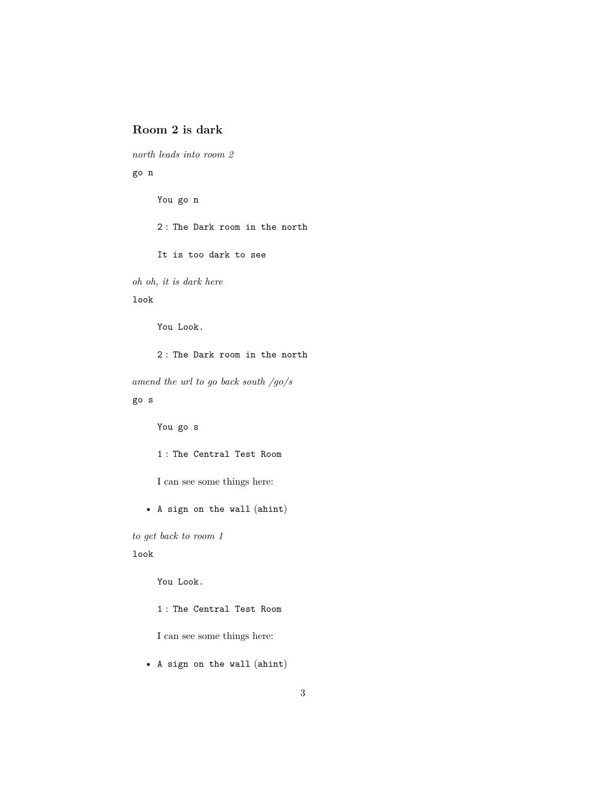# <span id="page-2-0"></span>**Room 2 is dark**

*north leads into room 2*

go n

You go n 2 : The Dark room in the north It is too dark to see *oh oh, it is dark here*

look

You Look.

2 : The Dark room in the north

*amend the url to go back south /go/s* go s

You go s

1 : The Central Test Room

I can see some things here:

• A sign on the wall (ahint)

*to get back to room 1*

look

You Look.

1 : The Central Test Room

I can see some things here:

• A sign on the wall (ahint)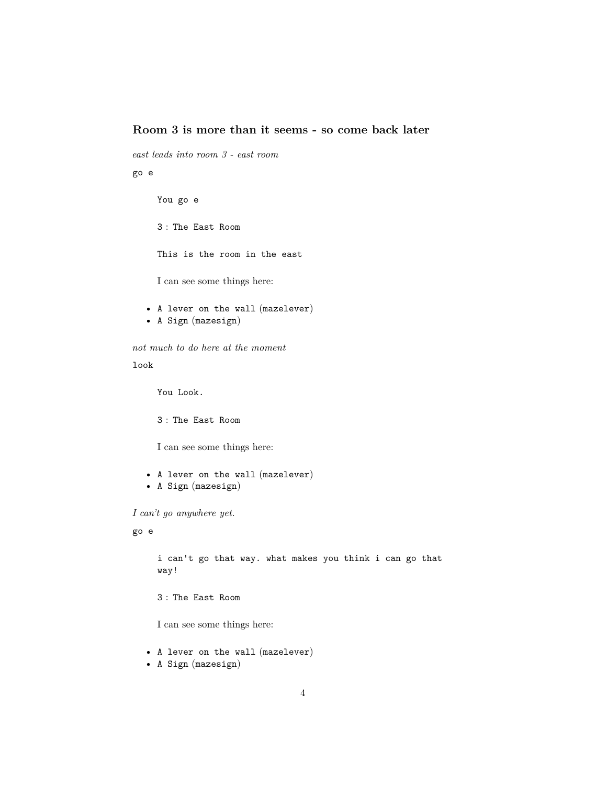# <span id="page-3-0"></span>**Room 3 is more than it seems - so come back later**

*east leads into room 3 - east room*

go e

You go e 3 : The East Room This is the room in the east I can see some things here:

• A lever on the wall (mazelever) • A Sign (mazesign)

*not much to do here at the moment*

look

You Look.

3 : The East Room

I can see some things here:

- A lever on the wall (mazelever)
- A Sign (mazesign)

*I can't go anywhere yet.*

go e

i can't go that way. what makes you think i can go that way!

3 : The East Room

I can see some things here:

- A lever on the wall (mazelever)
- A Sign (mazesign)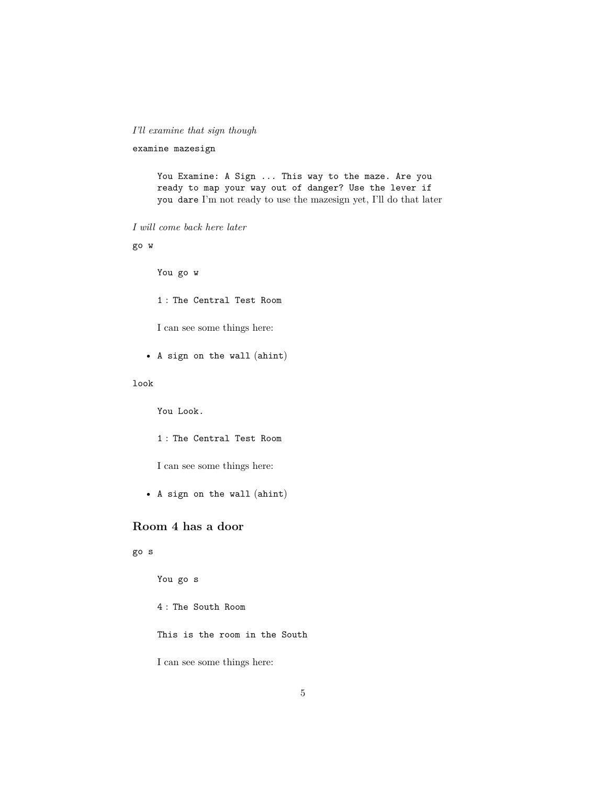## *I'll examine that sign though*

```
examine mazesign
```
You Examine: A Sign ... This way to the maze. Are you ready to map your way out of danger? Use the lever if you dare I'm not ready to use the mazesign yet, I'll do that later

#### *I will come back here later*

go w

You go w

1 : The Central Test Room

I can see some things here:

• A sign on the wall (ahint)

## look

You Look.

1 : The Central Test Room

I can see some things here:

• A sign on the wall (ahint)

# <span id="page-4-0"></span>**Room 4 has a door**

## go s

You go s

4 : The South Room

This is the room in the South

I can see some things here: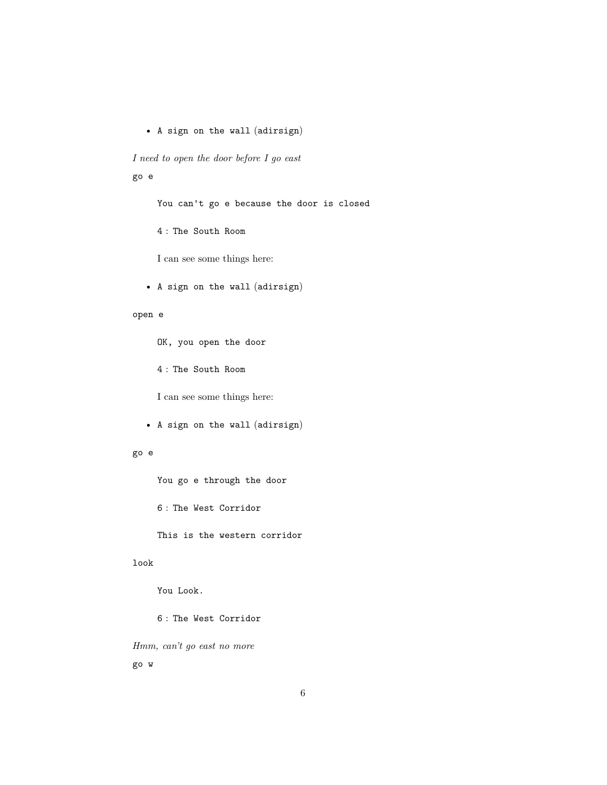• A sign on the wall (adirsign)

*I need to open the door before I go east*

go e

You can't go e because the door is closed

4 : The South Room

I can see some things here:

• A sign on the wall (adirsign)

#### open e

OK, you open the door

4 : The South Room

I can see some things here:

• A sign on the wall (adirsign)

## go e

You go e through the door

6 : The West Corridor

This is the western corridor

## look

You Look.

6 : The West Corridor

*Hmm, can't go east no more*

go w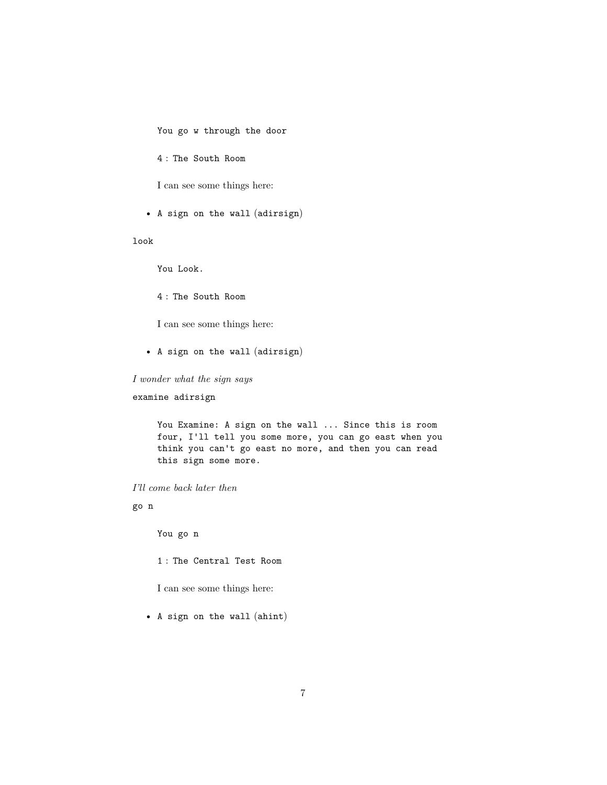You go w through the door

4 : The South Room

I can see some things here:

• A sign on the wall (adirsign)

look

You Look.

4 : The South Room

I can see some things here:

• A sign on the wall (adirsign)

*I wonder what the sign says*

examine adirsign

You Examine: A sign on the wall ... Since this is room four, I'll tell you some more, you can go east when you think you can't go east no more, and then you can read this sign some more.

*I'll come back later then*

go n

You go n

1 : The Central Test Room

I can see some things here:

• A sign on the wall (ahint)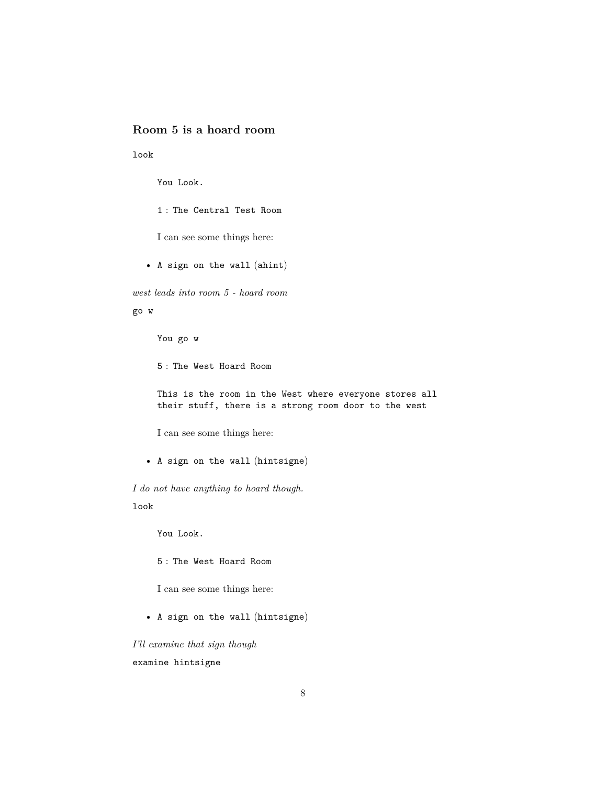# <span id="page-7-0"></span>**Room 5 is a hoard room**

look

You Look.

1 : The Central Test Room

I can see some things here:

• A sign on the wall (ahint)

*west leads into room 5 - hoard room*

go w

You go w

5 : The West Hoard Room

This is the room in the West where everyone stores all their stuff, there is a strong room door to the west

I can see some things here:

• A sign on the wall (hintsigne)

*I do not have anything to hoard though.* look

You Look.

5 : The West Hoard Room

I can see some things here:

• A sign on the wall (hintsigne)

*I'll examine that sign though* examine hintsigne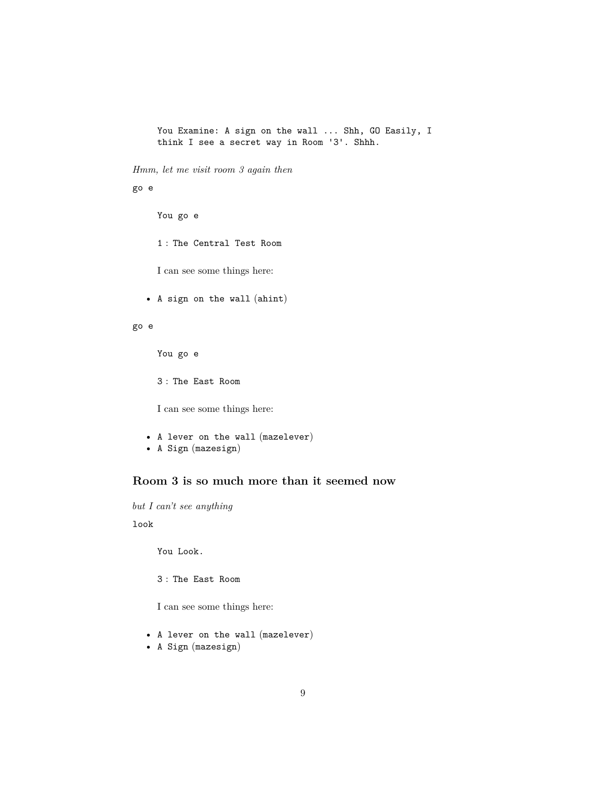You Examine: A sign on the wall ... Shh, GO Easily, I think I see a secret way in Room '3'. Shhh.

*Hmm, let me visit room 3 again then*

go e

You go e

1 : The Central Test Room

I can see some things here:

• A sign on the wall (ahint)

go e

You go e

3 : The East Room

I can see some things here:

```
• A lever on the wall (mazelever)
```
• A Sign (mazesign)

# <span id="page-8-0"></span>**Room 3 is so much more than it seemed now**

*but I can't see anything*

look

You Look.

3 : The East Room

I can see some things here:

- A lever on the wall (mazelever)
- A Sign (mazesign)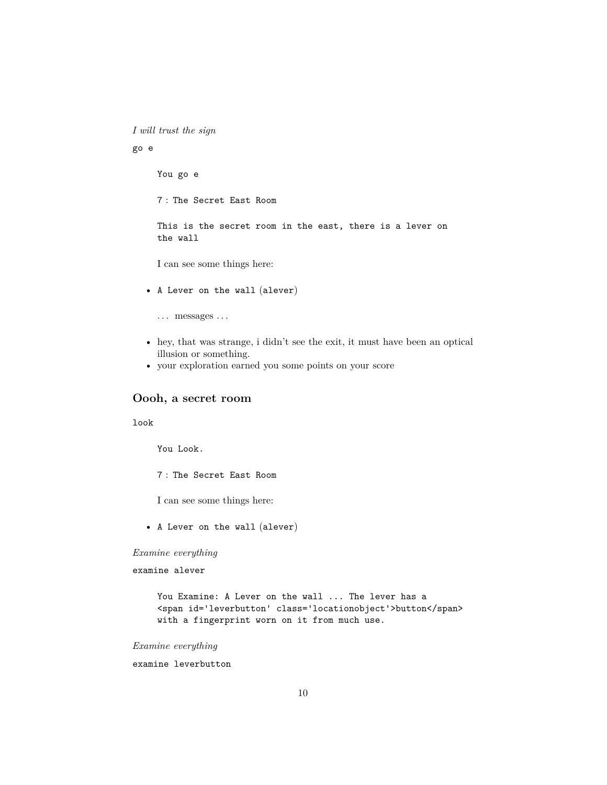*I will trust the sign*

#### go e

You go e

7 : The Secret East Room

This is the secret room in the east, there is a lever on the wall

I can see some things here:

• A Lever on the wall (alever)

... messages ...

- hey, that was strange, i didn't see the exit, it must have been an optical illusion or something.
- your exploration earned you some points on your score

## <span id="page-9-0"></span>**Oooh, a secret room**

#### look

You Look.

7 : The Secret East Room

I can see some things here:

• A Lever on the wall (alever)

## *Examine everything*

examine alever

You Examine: A Lever on the wall ... The lever has a <span id='leverbutton' class='locationobject'>button</span> with a fingerprint worn on it from much use.

*Examine everything*

examine leverbutton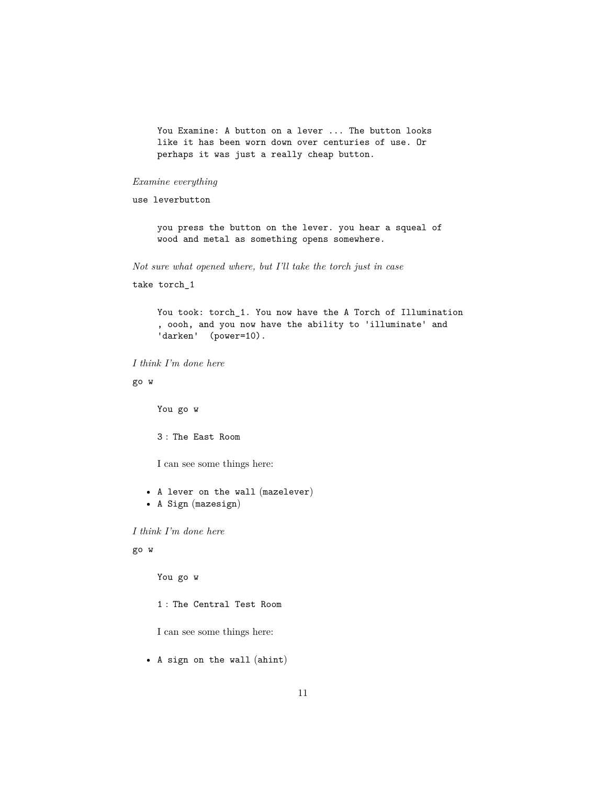You Examine: A button on a lever ... The button looks like it has been worn down over centuries of use. Or perhaps it was just a really cheap button.

*Examine everything*

use leverbutton

you press the button on the lever. you hear a squeal of wood and metal as something opens somewhere.

*Not sure what opened where, but I'll take the torch just in case*

take torch\_1

You took: torch\_1. You now have the A Torch of Illumination , oooh, and you now have the ability to 'illuminate' and 'darken' (power=10).

*I think I'm done here*

go w

You go w

3 : The East Room

I can see some things here:

• A lever on the wall (mazelever)

• A Sign (mazesign)

*I think I'm done here*

## go w

You go w

1 : The Central Test Room

I can see some things here:

• A sign on the wall (ahint)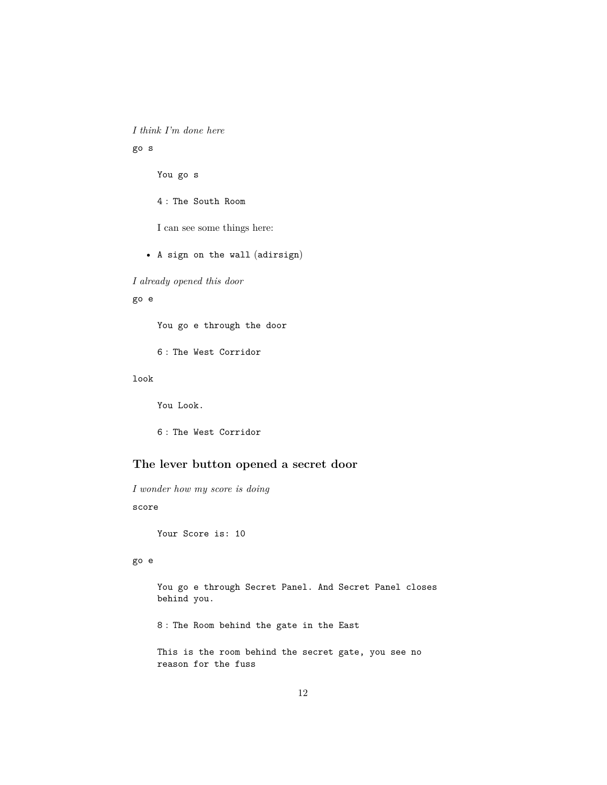*I think I'm done here*

go s

You go s

4 : The South Room

I can see some things here:

• A sign on the wall (adirsign)

*I already opened this door*

go e

You go e through the door

6 : The West Corridor

look

You Look.

6 : The West Corridor

# <span id="page-11-0"></span>**The lever button opened a secret door**

*I wonder how my score is doing*

score

Your Score is: 10

go e

You go e through Secret Panel. And Secret Panel closes behind you.

8 : The Room behind the gate in the East

This is the room behind the secret gate, you see no reason for the fuss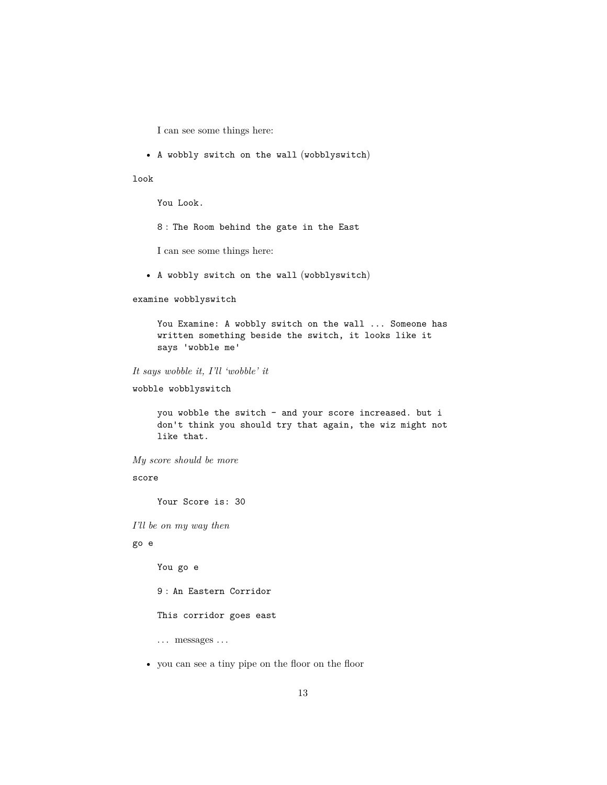- I can see some things here:
- A wobbly switch on the wall (wobblyswitch)

look

You Look.

8 : The Room behind the gate in the East

I can see some things here:

• A wobbly switch on the wall (wobblyswitch)

```
examine wobblyswitch
```
You Examine: A wobbly switch on the wall ... Someone has written something beside the switch, it looks like it says 'wobble me'

*It says wobble it, I'll 'wobble' it*

wobble wobblyswitch

you wobble the switch - and your score increased. but i don't think you should try that again, the wiz might not like that.

*My score should be more*

score

Your Score is: 30

*I'll be on my way then*

## go e

You go e

9 : An Eastern Corridor

This corridor goes east

... messages ...

• you can see a tiny pipe on the floor on the floor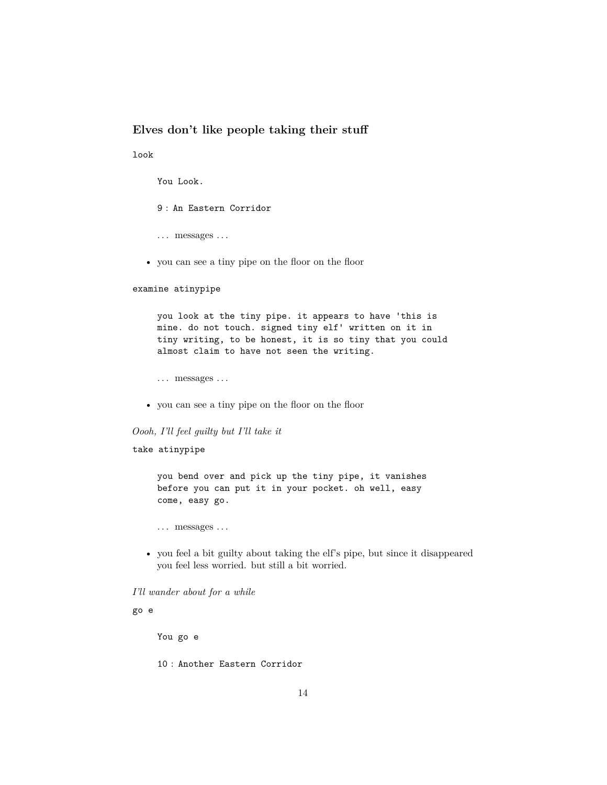# <span id="page-13-0"></span>**Elves don't like people taking their stuff**

look

You Look.

9 : An Eastern Corridor

. . . messages . . .

• you can see a tiny pipe on the floor on the floor

#### examine atinypipe

you look at the tiny pipe. it appears to have 'this is mine. do not touch. signed tiny elf' written on it in tiny writing, to be honest, it is so tiny that you could almost claim to have not seen the writing.

. . . messages . . .

• you can see a tiny pipe on the floor on the floor

## *Oooh, I'll feel guilty but I'll take it*

## take atinypipe

you bend over and pick up the tiny pipe, it vanishes before you can put it in your pocket. oh well, easy come, easy go.

. . . messages . . .

• you feel a bit guilty about taking the elf's pipe, but since it disappeared you feel less worried. but still a bit worried.

## *I'll wander about for a while*

## go e

You go e

10 : Another Eastern Corridor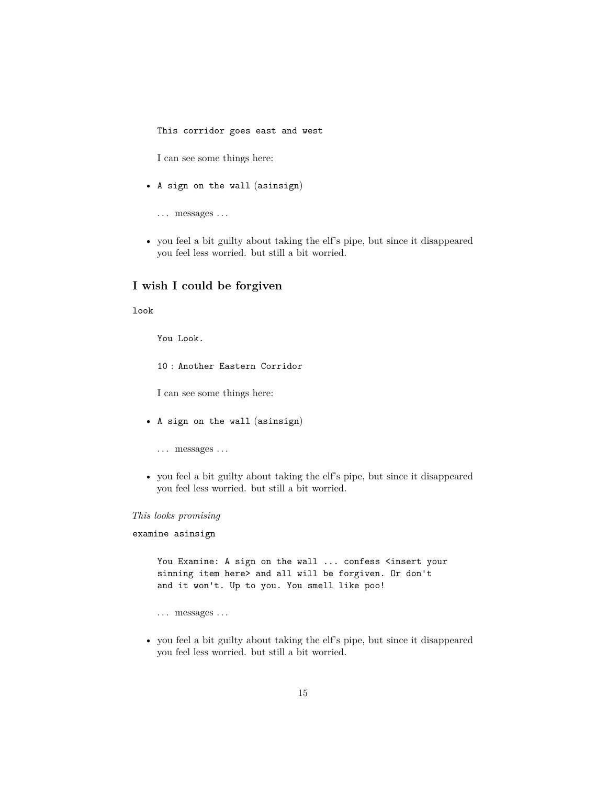This corridor goes east and west

I can see some things here:

- A sign on the wall (asinsign)
	- . . . messages . . .
- you feel a bit guilty about taking the elf's pipe, but since it disappeared you feel less worried. but still a bit worried.

# <span id="page-14-0"></span>**I wish I could be forgiven**

look

You Look.

10 : Another Eastern Corridor

I can see some things here:

- A sign on the wall (asinsign)
	- . . . messages . . .
- you feel a bit guilty about taking the elf's pipe, but since it disappeared you feel less worried. but still a bit worried.

#### *This looks promising*

examine asinsign

You Examine: A sign on the wall ... confess <insert your sinning item here> and all will be forgiven. Or don't and it won't. Up to you. You smell like poo!

... messages ...

• you feel a bit guilty about taking the elf's pipe, but since it disappeared you feel less worried. but still a bit worried.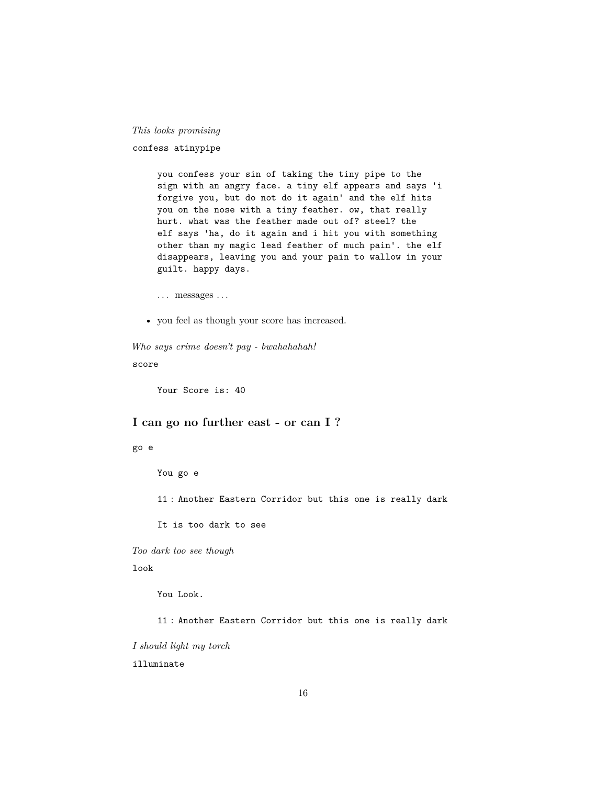## *This looks promising*

confess atinypipe

you confess your sin of taking the tiny pipe to the sign with an angry face. a tiny elf appears and says 'i forgive you, but do not do it again' and the elf hits you on the nose with a tiny feather. ow, that really hurt. what was the feather made out of? steel? the elf says 'ha, do it again and i hit you with something other than my magic lead feather of much pain'. the elf disappears, leaving you and your pain to wallow in your guilt. happy days.

... messages ...

• you feel as though your score has increased.

*Who says crime doesn't pay - bwahahahah!*

score

Your Score is: 40

## <span id="page-15-0"></span>**I can go no further east - or can I ?**

#### go e

You go e

11 : Another Eastern Corridor but this one is really dark

It is too dark to see

*Too dark too see though*

look

You Look.

11 : Another Eastern Corridor but this one is really dark

*I should light my torch*

illuminate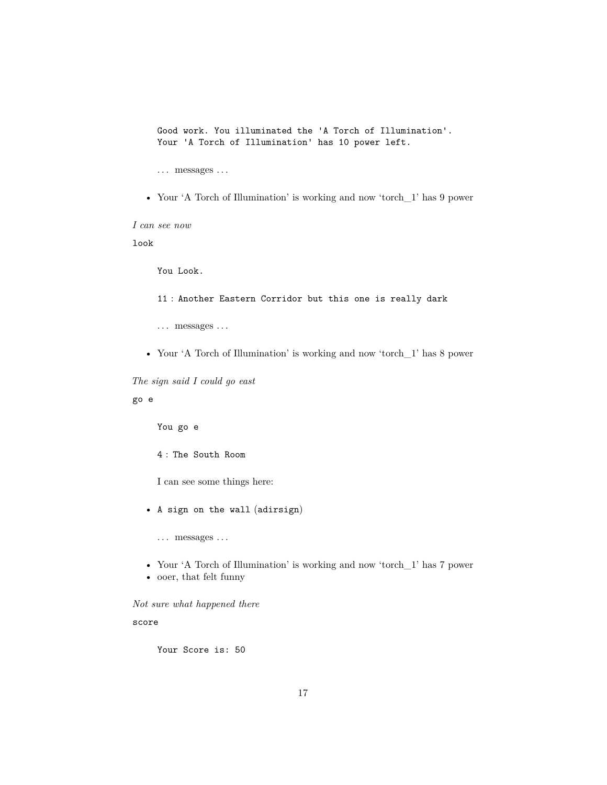Good work. You illuminated the 'A Torch of Illumination'. Your 'A Torch of Illumination' has 10 power left.

. . . messages . . .

• Your 'A Torch of Illumination' is working and now 'torch\_1' has 9 power

*I can see now*

look

You Look.

- 11 : Another Eastern Corridor but this one is really dark
- $\dots\,$  messages  $\dots\,$
- Your 'A Torch of Illumination' is working and now 'torch\_1' has 8 power

*The sign said I could go east*

go e

You go e

4 : The South Room

I can see some things here:

• A sign on the wall (adirsign)

 $\dots$  messages  $\dots$ 

- Your 'A Torch of Illumination' is working and now 'torch\_1' has 7 power
- ooer, that felt funny

*Not sure what happened there*

score

Your Score is: 50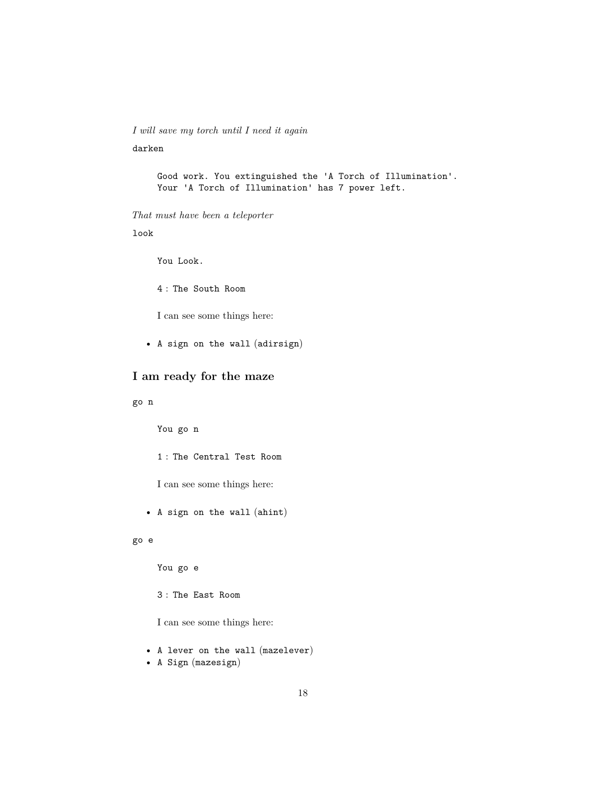*I will save my torch until I need it again* darken

> Good work. You extinguished the 'A Torch of Illumination'. Your 'A Torch of Illumination' has 7 power left.

*That must have been a teleporter*

look

You Look.

4 : The South Room

I can see some things here:

• A sign on the wall (adirsign)

# <span id="page-17-0"></span>**I am ready for the maze**

go n

You go n

1 : The Central Test Room

I can see some things here:

• A sign on the wall (ahint)

go e

You go e

3 : The East Room

I can see some things here:

• A lever on the wall (mazelever)

• A Sign (mazesign)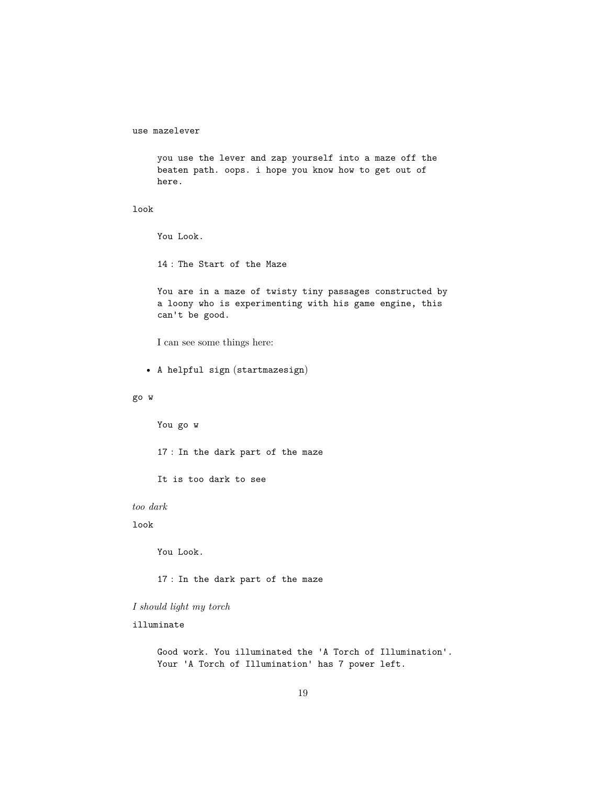use mazelever

you use the lever and zap yourself into a maze off the beaten path. oops. i hope you know how to get out of here.

look

You Look.

14 : The Start of the Maze

You are in a maze of twisty tiny passages constructed by a loony who is experimenting with his game engine, this can't be good.

I can see some things here:

• A helpful sign (startmazesign)

## go w

You go w

17 : In the dark part of the maze

It is too dark to see

*too dark*

look

You Look.

17 : In the dark part of the maze

*I should light my torch*

illuminate

Good work. You illuminated the 'A Torch of Illumination'. Your 'A Torch of Illumination' has 7 power left.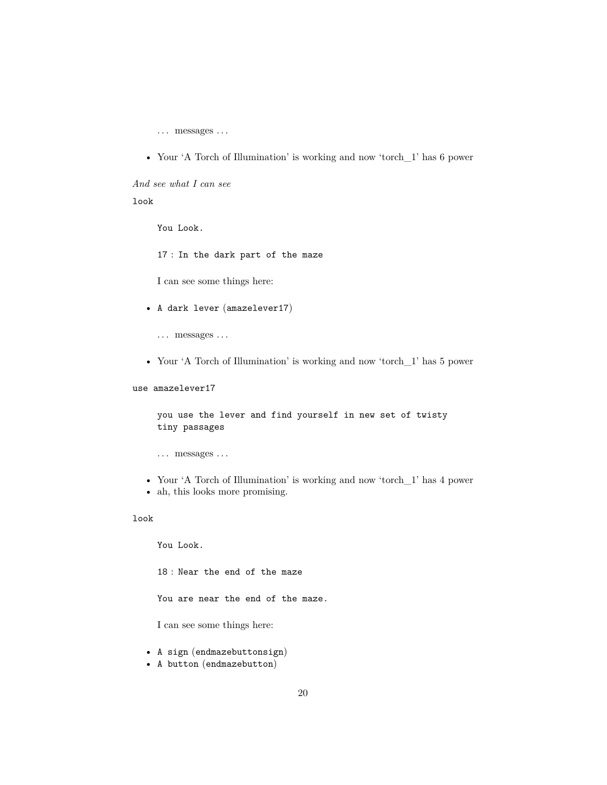$\dots$  messages  $\dots$ 

• Your 'A Torch of Illumination' is working and now 'torch\_1' has 6 power

*And see what I can see*

#### look

You Look.

17 : In the dark part of the maze

I can see some things here:

- A dark lever (amazelever17)
	- $\dots$  messages  $\dots$
- Your 'A Torch of Illumination' is working and now 'torch 1' has 5 power

use amazelever17

you use the lever and find yourself in new set of twisty tiny passages

... messages ...

- Your 'A Torch of Illumination' is working and now 'torch\_1' has 4 power
- ah, this looks more promising.

## look

You Look.

18 : Near the end of the maze

You are near the end of the maze.

I can see some things here:

- A sign (endmazebuttonsign)
- A button (endmazebutton)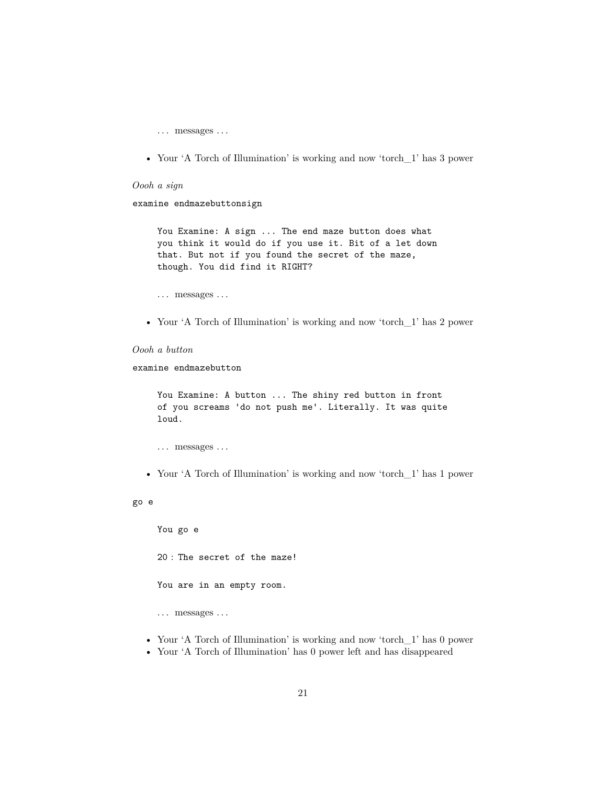$\dots\,$  messages  $\dots\,$ 

• Your 'A Torch of Illumination' is working and now 'torch\_1' has 3 power

#### *Oooh a sign*

examine endmazebuttonsign

You Examine: A sign ... The end maze button does what you think it would do if you use it. Bit of a let down that. But not if you found the secret of the maze, though. You did find it RIGHT?

- $\dots$  messages  $\dots$
- Your 'A Torch of Illumination' is working and now 'torch 1' has 2 power

## *Oooh a button*

examine endmazebutton

You Examine: A button ... The shiny red button in front of you screams 'do not push me'. Literally. It was quite loud.

```
. . . messages . . .
```
• Your 'A Torch of Illumination' is working and now 'torch\_1' has 1 power

#### go e

You go e

20 : The secret of the maze!

You are in an empty room.

. . . messages . . .

- Your 'A Torch of Illumination' is working and now 'torch\_1' has 0 power
- Your 'A Torch of Illumination' has 0 power left and has disappeared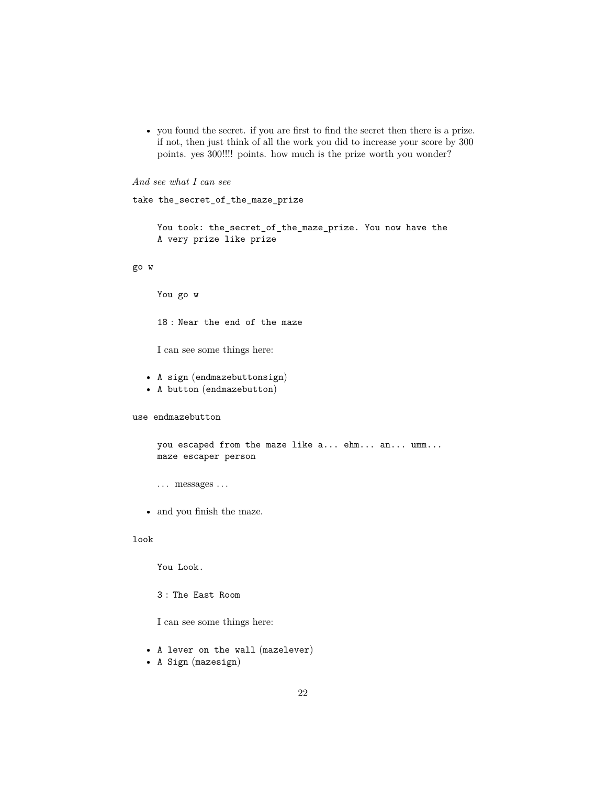• you found the secret. if you are first to find the secret then there is a prize. if not, then just think of all the work you did to increase your score by 300 points. yes 300!!!! points. how much is the prize worth you wonder?

```
And see what I can see
```

```
take the_secret_of_the_maze_prize
    You took: the_secret_of_the_maze_prize. You now have the
    A very prize like prize
go w
    You go w
    18 : Near the end of the maze
    I can see some things here:
  • A sign (endmazebuttonsign)
  • A button (endmazebutton)
```
use endmazebutton

```
you escaped from the maze like a... ehm... an... umm...
maze escaper person
```
- ... messages ...
- and you finish the maze.

## look

You Look.

3 : The East Room

I can see some things here:

- A lever on the wall (mazelever)
- A Sign (mazesign)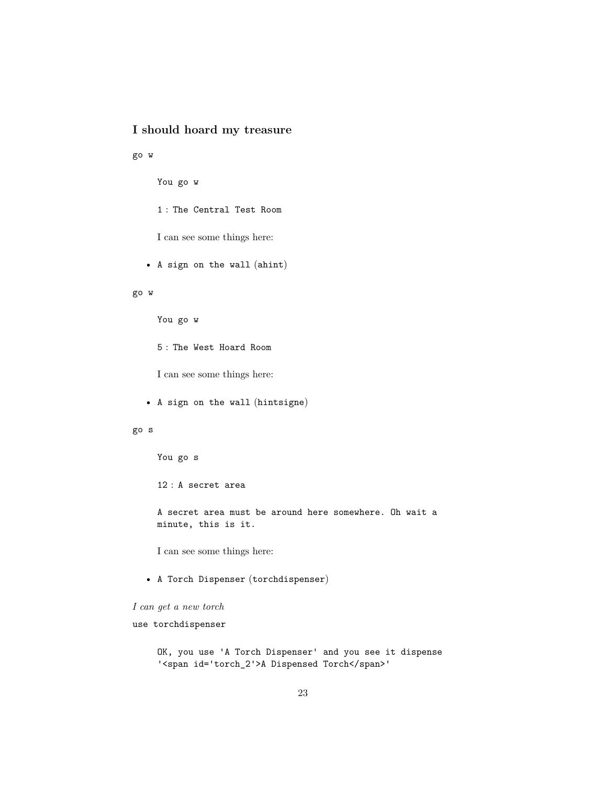# <span id="page-22-0"></span>**I should hoard my treasure**

go w

You go w

1 : The Central Test Room

I can see some things here:

• A sign on the wall (ahint)

#### go w

You go w

5 : The West Hoard Room

I can see some things here:

• A sign on the wall (hintsigne)

go s

You go s

12 : A secret area

A secret area must be around here somewhere. Oh wait a minute, this is it.

I can see some things here:

• A Torch Dispenser (torchdispenser)

```
I can get a new torch
```
use torchdispenser

OK, you use 'A Torch Dispenser' and you see it dispense '<span id='torch\_2'>A Dispensed Torch</span>'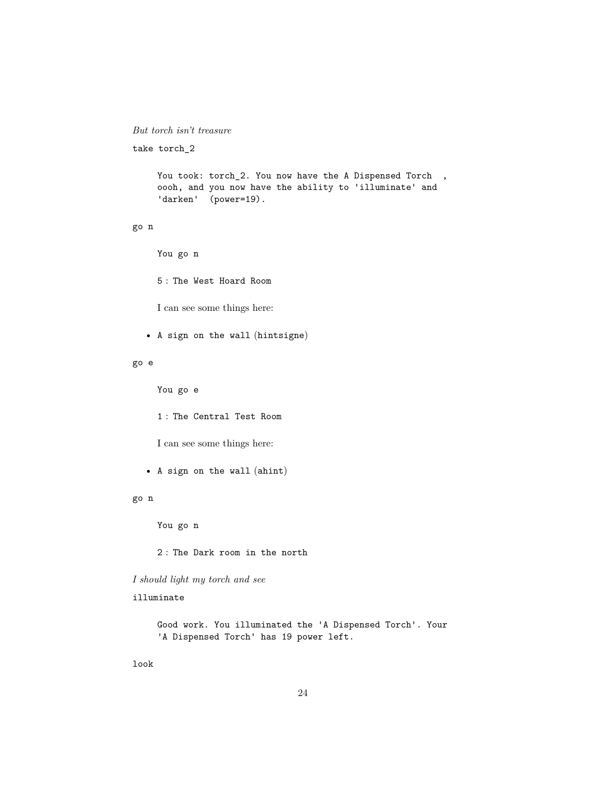## *But torch isn't treasure*

take torch\_2

```
You took: torch_2. You now have the A Dispensed Torch,
oooh, and you now have the ability to 'illuminate' and
'darken' (power=19).
```
## go n

You go n

5 : The West Hoard Room

I can see some things here:

• A sign on the wall (hintsigne)

#### go e

You go e

1 : The Central Test Room

I can see some things here:

• A sign on the wall (ahint)

#### go n

You go n

2 : The Dark room in the north

*I should light my torch and see*

illuminate

Good work. You illuminated the 'A Dispensed Torch'. Your 'A Dispensed Torch' has 19 power left.

look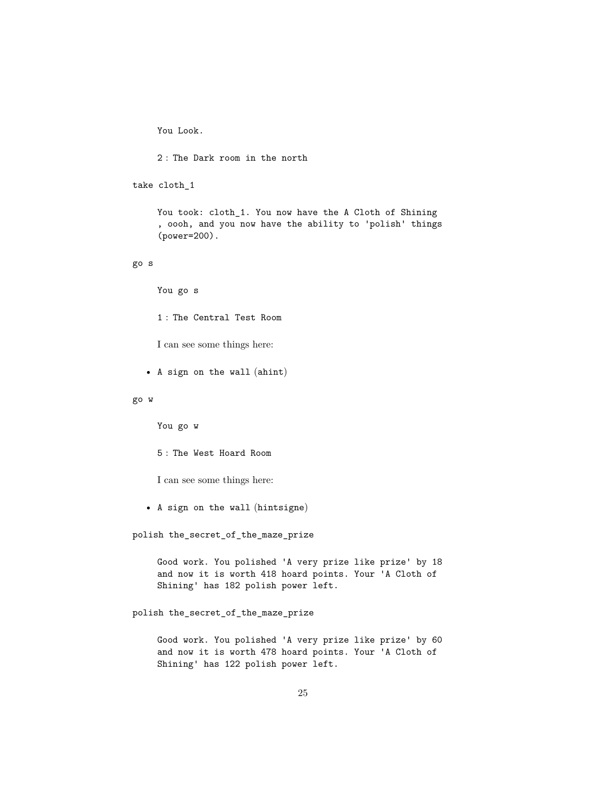You Look.

```
2 : The Dark room in the north
```
take cloth\_1

You took: cloth\_1. You now have the A Cloth of Shining , oooh, and you now have the ability to 'polish' things (power=200).

go s

You go s

1 : The Central Test Room

I can see some things here:

• A sign on the wall (ahint)

go w

You go w

5 : The West Hoard Room

I can see some things here:

• A sign on the wall (hintsigne)

polish the\_secret\_of\_the\_maze\_prize

Good work. You polished 'A very prize like prize' by 18 and now it is worth 418 hoard points. Your 'A Cloth of Shining' has 182 polish power left.

polish the\_secret\_of\_the\_maze\_prize

Good work. You polished 'A very prize like prize' by 60 and now it is worth 478 hoard points. Your 'A Cloth of Shining' has 122 polish power left.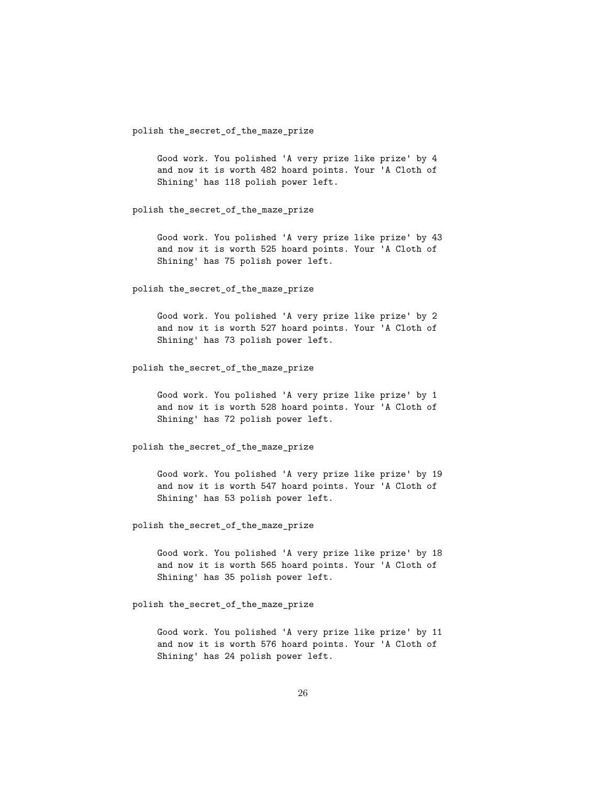polish the\_secret\_of\_the\_maze\_prize

Good work. You polished 'A very prize like prize' by 4 and now it is worth 482 hoard points. Your 'A Cloth of Shining' has 118 polish power left.

polish the\_secret\_of\_the\_maze\_prize

Good work. You polished 'A very prize like prize' by 43 and now it is worth 525 hoard points. Your 'A Cloth of Shining' has 75 polish power left.

polish the\_secret\_of\_the\_maze\_prize

Good work. You polished 'A very prize like prize' by 2 and now it is worth 527 hoard points. Your 'A Cloth of Shining' has 73 polish power left.

polish the\_secret\_of\_the\_maze\_prize

Good work. You polished 'A very prize like prize' by 1 and now it is worth 528 hoard points. Your 'A Cloth of Shining' has 72 polish power left.

polish the\_secret\_of\_the\_maze\_prize

Good work. You polished 'A very prize like prize' by 19 and now it is worth 547 hoard points. Your 'A Cloth of Shining' has 53 polish power left.

polish the\_secret\_of\_the\_maze\_prize

Good work. You polished 'A very prize like prize' by 18 and now it is worth 565 hoard points. Your 'A Cloth of Shining' has 35 polish power left.

polish the\_secret\_of\_the\_maze\_prize

Good work. You polished 'A very prize like prize' by 11 and now it is worth 576 hoard points. Your 'A Cloth of Shining' has 24 polish power left.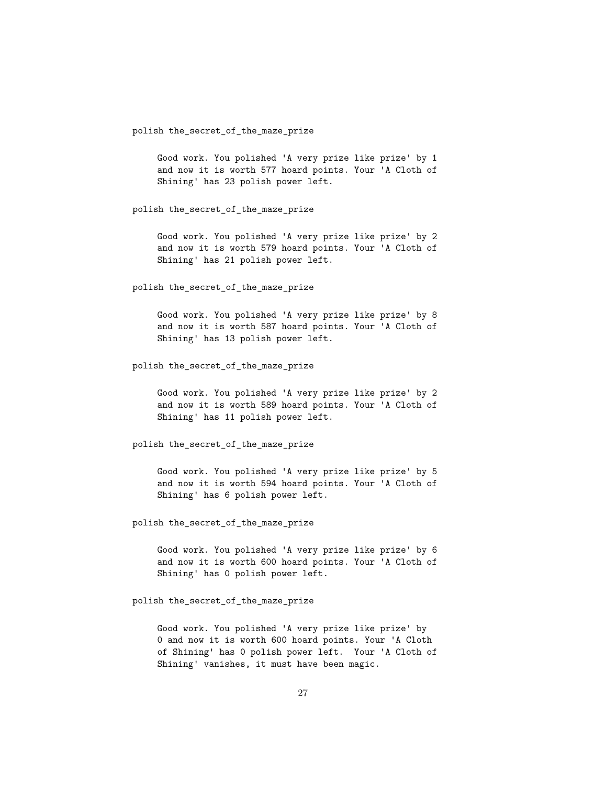polish the\_secret\_of\_the\_maze\_prize

Good work. You polished 'A very prize like prize' by 1 and now it is worth 577 hoard points. Your 'A Cloth of Shining' has 23 polish power left.

polish the\_secret\_of\_the\_maze\_prize

Good work. You polished 'A very prize like prize' by 2 and now it is worth 579 hoard points. Your 'A Cloth of Shining' has 21 polish power left.

polish the\_secret\_of\_the\_maze\_prize

Good work. You polished 'A very prize like prize' by 8 and now it is worth 587 hoard points. Your 'A Cloth of Shining' has 13 polish power left.

polish the\_secret\_of\_the\_maze\_prize

Good work. You polished 'A very prize like prize' by 2 and now it is worth 589 hoard points. Your 'A Cloth of Shining' has 11 polish power left.

polish the\_secret\_of\_the\_maze\_prize

Good work. You polished 'A very prize like prize' by 5 and now it is worth 594 hoard points. Your 'A Cloth of Shining' has 6 polish power left.

polish the\_secret\_of\_the\_maze\_prize

Good work. You polished 'A very prize like prize' by 6 and now it is worth 600 hoard points. Your 'A Cloth of Shining' has 0 polish power left.

polish the\_secret\_of\_the\_maze\_prize

Good work. You polished 'A very prize like prize' by 0 and now it is worth 600 hoard points. Your 'A Cloth of Shining' has 0 polish power left. Your 'A Cloth of Shining' vanishes, it must have been magic.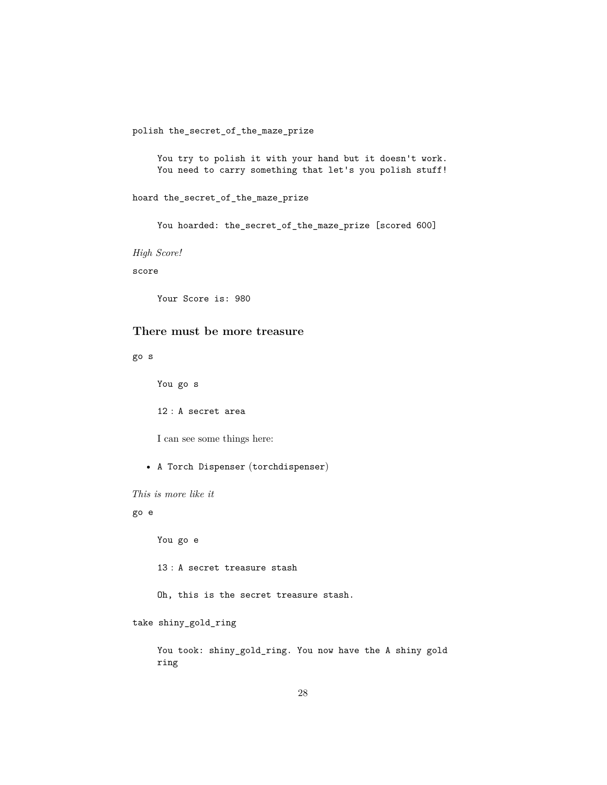polish the\_secret\_of\_the\_maze\_prize

You try to polish it with your hand but it doesn't work. You need to carry something that let's you polish stuff!

hoard the\_secret\_of\_the\_maze\_prize

You hoarded: the\_secret\_of\_the\_maze\_prize [scored 600]

*High Score!*

score

Your Score is: 980

## <span id="page-27-0"></span>**There must be more treasure**

go s

You go s

12 : A secret area

I can see some things here:

• A Torch Dispenser (torchdispenser)

*This is more like it*

## go e

You go e

13 : A secret treasure stash

Oh, this is the secret treasure stash.

take shiny\_gold\_ring

You took: shiny\_gold\_ring. You now have the A shiny gold ring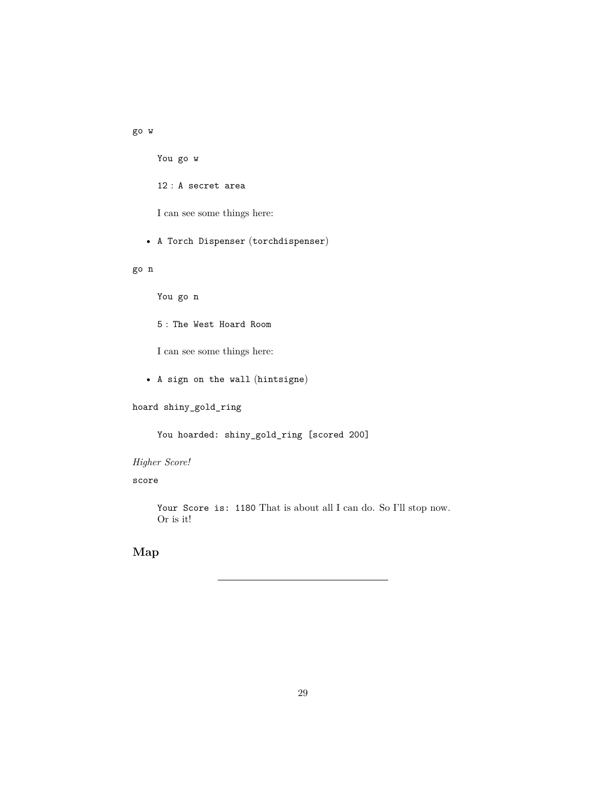go w

You go w

12 : A secret area

I can see some things here:

• A Torch Dispenser (torchdispenser)

go n

You go n

5 : The West Hoard Room

I can see some things here:

• A sign on the wall (hintsigne)

hoard shiny\_gold\_ring

You hoarded: shiny\_gold\_ring [scored 200]

*Higher Score!*

score

Your Score is: 1180 That is about all I can do. So I'll stop now. Or is it!

<span id="page-28-0"></span>**Map**